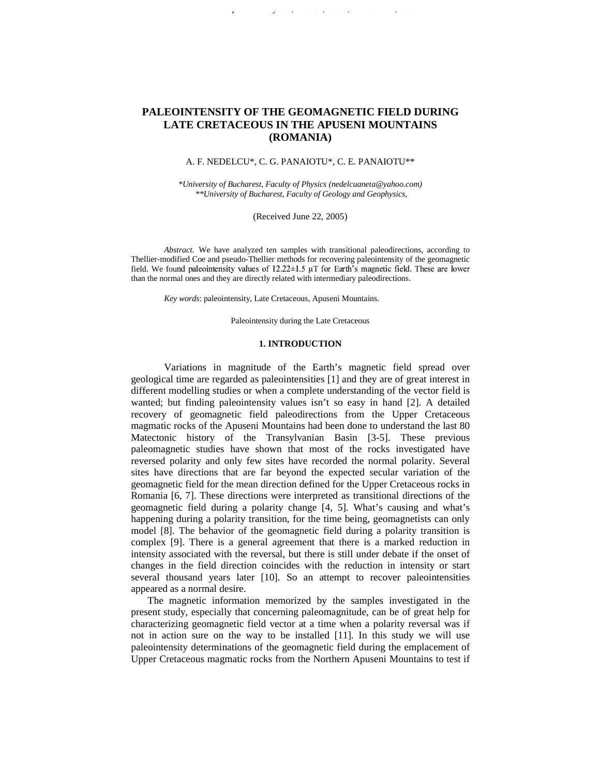# **PALEOINTENSITY OF THE GEOMAGNETIC FIELD DURING LATE CRETACEOUS IN THE APUSENI MOUNTAINS (ROMANIA)**

*Romanian Reports in Physics, Vol. 57, No. 3, P. 436-444 , 2005*

# A. F. NEDELCU\*, C. G. PANAIOTU\*, C. E. PANAIOTU\*\*

*\*University of Bucharest, Faculty of Physics (nedelcuaneta@yahoo.com) \*\*University of Bucharest, Faculty of Geology and Geophysics,*

(Received June 22, 2005)

*Abstract.* We have analyzed ten samples with transitional paleodirections, according to Thellier-modified Coe and pseudo-Thellier methods for recovering paleointensity of the geomagnetic field. We found paleointensity values of  $12.22 \pm 1.5$  µT for Earth's magnetic field. These are lower than the normal ones and they are directly related with intermediary paleodirections.

*Key words*: paleointensity, Late Cretaceous, Apuseni Mountains.

Paleointensity during the Late Cretaceous

## **1. INTRODUCTION**

Variations in magnitude of the Earth's magnetic field spread over geological time are regarded as paleointensities [1] and they are of great interest in different modelling studies or when a complete understanding of the vector field is wanted; but finding paleointensity values isn't so easy in hand [2]. A detailed recovery of geomagnetic field paleodirections from the Upper Cretaceous magmatic rocks of the Apuseni Mountains had been done to understand the last 80 Matectonic history of the Transylvanian Basin [3-5]. These previous paleomagnetic studies have shown that most of the rocks investigated have reversed polarity and only few sites have recorded the normal polarity. Several sites have directions that are far beyond the expected secular variation of the geomagnetic field for the mean direction defined for the Upper Cretaceous rocks in Romania [6, 7]. These directions were interpreted as transitional directions of the geomagnetic field during a polarity change [4, 5]. What's causing and what's happening during a polarity transition, for the time being, geomagnetists can only model [8]. The behavior of the geomagnetic field during a polarity transition is complex [9]. There is a general agreement that there is a marked reduction in intensity associated with the reversal, but there is still under debate if the onset of changes in the field direction coincides with the reduction in intensity or start several thousand years later [10]. So an attempt to recover paleointensities appeared as a normal desire.

The magnetic information memorized by the samples investigated in the present study, especially that concerning paleomagnitude, can be of great help for characterizing geomagnetic field vector at a time when a polarity reversal was if not in action sure on the way to be installed [11]. In this study we will use paleointensity determinations of the geomagnetic field during the emplacement of Upper Cretaceous magmatic rocks from the Northern Apuseni Mountains to test if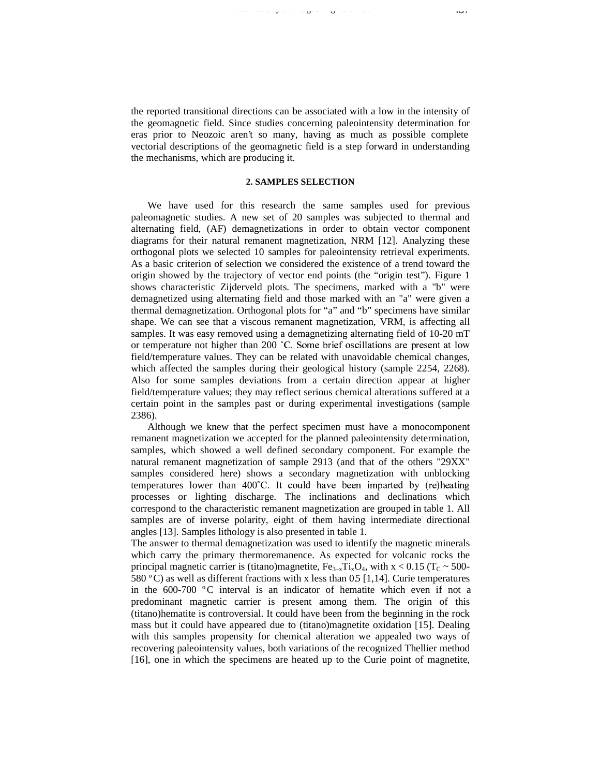the reported transitional directions can be associated with a low in the intensity of the geomagnetic field. Since studies concerning paleointensity determination for eras prior to Neozoic aren't so many, having as much as possible complete vectorial descriptions of the geomagnetic field is a step forward in understanding the mechanisms, which are producing it.

Paleointensity of the geomagnetic field 437

## **2. SAMPLES SELECTION**

We have used for this research the same samples used for previous paleomagnetic studies. A new set of 20 samples was subjected to thermal and alternating field, (AF) demagnetizations in order to obtain vector component diagrams for their natural remanent magnetization, NRM [12]. Analyzing these orthogonal plots we selected 10 samples for paleointensity retrieval experiments. As a basic criterion of selection we considered the existence of a trend toward the origin showed by the trajectory of vector end points (the "origin test"). Figure 1 shows characteristic Zijderveld plots. The specimens, marked with a "b" were demagnetized using alternating field and those marked with an "a" were given a thermal demagnetization. Orthogonal plots for "a" and "b" specimens have similar shape. We can see that a viscous remanent magnetization, VRM, is affecting all samples. It was easy removed using a demagnetizing alternating field of 10-20 mT or temperature not higher than 200  $^{\circ}$ C. Some brief oscillations are present at low field/temperature values. They can be related with unavoidable chemical changes, which affected the samples during their geological history (sample 2254, 2268). Also for some samples deviations from a certain direction appear at higher field/temperature values; they may reflect serious chemical alterations suffered at a certain point in the samples past or during experimental investigations (sample 2386).

Although we knew that the perfect specimen must have a monocomponent remanent magnetization we accepted for the planned paleointensity determination, samples, which showed a well defined secondary component. For example the natural remanent magnetization of sample 2913 (and that of the others "29XX" samples considered here) shows a secondary magnetization with unblocking temperatures lower than 400°C. It could have been imparted by (re)heating processes or lighting discharge. The inclinations and declinations which correspond to the characteristic remanent magnetization are grouped in table 1. All samples are of inverse polarity, eight of them having intermediate directional angles [13]. Samples lithology is also presented in table 1.

The answer to thermal demagnetization was used to identify the magnetic minerals which carry the primary thermoremanence. As expected for volcanic rocks the principal magnetic carrier is (titano)magnetite,  $Fe_{3-x}Ti_xO_4$ , with  $x < 0.15$  (T<sub>C</sub> ~ 500-580 °C) as well as different fractions with x less than 0.5 [1,14]. Curie temperatures in the 600-700 ºC interval is an indicator of hematite which even if not a predominant magnetic carrier is present among them. The origin of this (titano)hematite is controversial. It could have been from the beginning in the rock mass but it could have appeared due to (titano)magnetite oxidation [15]. Dealing with this samples propensity for chemical alteration we appealed two ways of recovering paleointensity values, both variations of the recognized Thellier method [16], one in which the specimens are heated up to the Curie point of magnetite,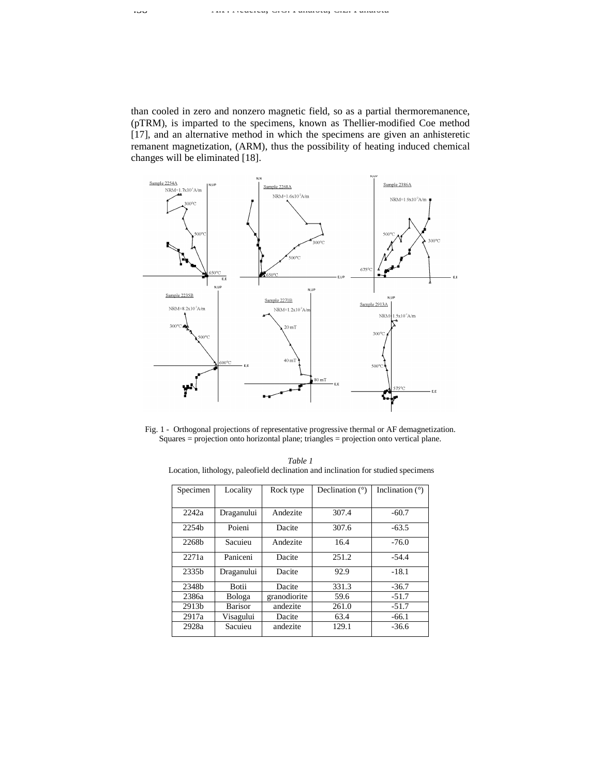than cooled in zero and nonzero magnetic field, so as a partial thermoremanence, (pTRM), is imparted to the specimens, known as Thellier-modified Coe method [17], and an alternative method in which the specimens are given an anhisteretic remanent magnetization, (ARM), thus the possibility of heating induced chemical changes will be eliminated [18].



Fig. 1 - Orthogonal projections of representative progressive thermal or AF demagnetization. Squares = projection onto horizontal plane; triangles = projection onto vertical plane.

*Table 1* Location, lithology, paleofield declination and inclination for studied specimens

| Specimen          | Locality       | Declination $(°)$<br>Rock type |       | Inclination $(°)$ |  |
|-------------------|----------------|--------------------------------|-------|-------------------|--|
|                   |                |                                |       |                   |  |
| 2242a             | Draganului     | Andezite                       | 307.4 | $-60.7$           |  |
| 2254 <sub>b</sub> | Poieni         | Dacite                         | 307.6 | $-63.5$           |  |
| 2268b             | Sacuieu        | Andezite                       | 16.4  | $-76.0$           |  |
| 2271a             | Paniceni       | Dacite                         | 251.2 | $-54.4$           |  |
| 2335 <sub>b</sub> | Draganului     | Dacite                         | 92.9  | $-18.1$           |  |
| 2348b             | Botii          | Dacite                         | 331.3 | $-36.7$           |  |
| 2386a             | Bologa         | granodiorite                   | 59.6  | $-51.7$           |  |
| 2913b             | <b>Barisor</b> | andezite                       | 261.0 | $-51.7$           |  |
| 2917a             | Visagului      | Dacite                         | 63.4  | $-66.1$           |  |
| 2928a             | Sacuieu        | andezite                       | 129.1 | $-36.6$           |  |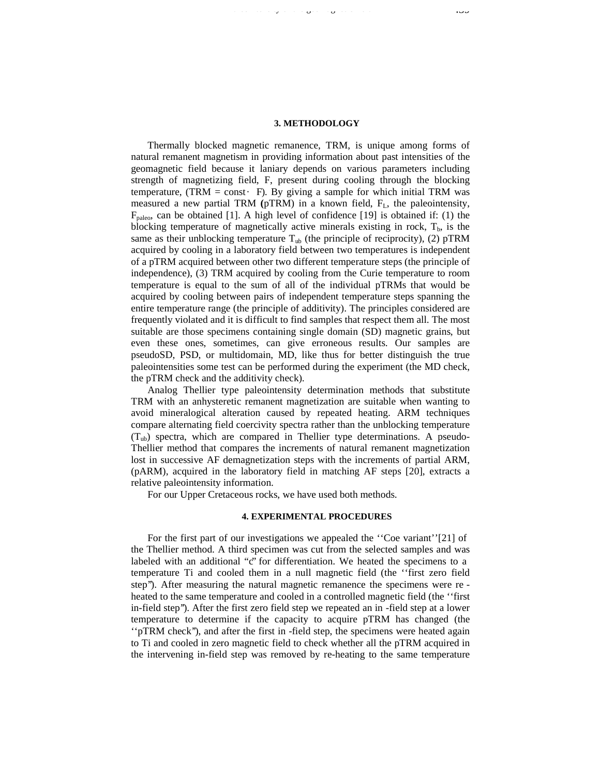# **3. METHODOLOGY**

Paleointensity of the geomagnetic field 439

Thermally blocked magnetic remanence, TRM, is unique among forms of natural remanent magnetism in providing information about past intensities of the geomagnetic field because it laniary depends on various parameters including strength of magnetizing field, F, present during cooling through the blocking temperature, (TRM = const · F). By giving a sample for which initial TRM was measured a new partial TRM  $(pTRM)$  in a known field,  $F<sub>L</sub>$ , the paleointensity,  $F_{\text{paleo}}$ , can be obtained [1]. A high level of confidence [19] is obtained if: (1) the blocking temperature of magnetically active minerals existing in rock,  $T<sub>b</sub>$ , is the same as their unblocking temperature  $T_{ub}$  (the principle of reciprocity), (2) pTRM acquired by cooling in a laboratory field between two temperatures is independent of a pTRM acquired between other two different temperature steps (the principle of independence), (3) TRM acquired by cooling from the Curie temperature to room temperature is equal to the sum of all of the individual pTRMs that would be acquired by cooling between pairs of independent temperature steps spanning the entire temperature range (the principle of additivity). The principles considered are frequently violated and it is difficult to find samples that respect them all. The most suitable are those specimens containing single domain (SD) magnetic grains, but even these ones, sometimes, can give erroneous results. Our samples are pseudoSD, PSD, or multidomain, MD, like thus for better distinguish the true paleointensities some test can be performed during the experiment (the MD check, the pTRM check and the additivity check).

Analog Thellier type paleointensity determination methods that substitute TRM with an anhysteretic remanent magnetization are suitable when wanting to avoid mineralogical alteration caused by repeated heating. ARM techniques compare alternating field coercivity spectra rather than the unblocking temperature  $(T_{ub})$  spectra, which are compared in Thellier type determinations. A pseudo-Thellier method that compares the increments of natural remanent magnetization lost in successive AF demagnetization steps with the increments of partial ARM, (pARM), acquired in the laboratory field in matching AF steps [20], extracts a relative paleointensity information.

For our Upper Cretaceous rocks, we have used both methods.

# **4. EXPERIMENTAL PROCEDURES**

For the first part of our investigations we appealed the ''Coe variant'' [21] of the Thellier method. A third specimen was cut from the selected samples and was labeled with an additional "c" for differentiation. We heated the specimens to a temperature Ti and cooled them in a null magnetic field (the ''first zero field step''). After measuring the natural magnetic remanence the specimens were re heated to the same temperature and cooled in a controlled magnetic field (the ''first in-field step''). After the first zero field step we repeated an in -field step at a lower temperature to determine if the capacity to acquire pTRM has changed (the ''pTRM check''), and after the first in -field step, the specimens were heated again to Ti and cooled in zero magnetic field to check whether all the pTRM acquired in the intervening in-field step was removed by re-heating to the same temperature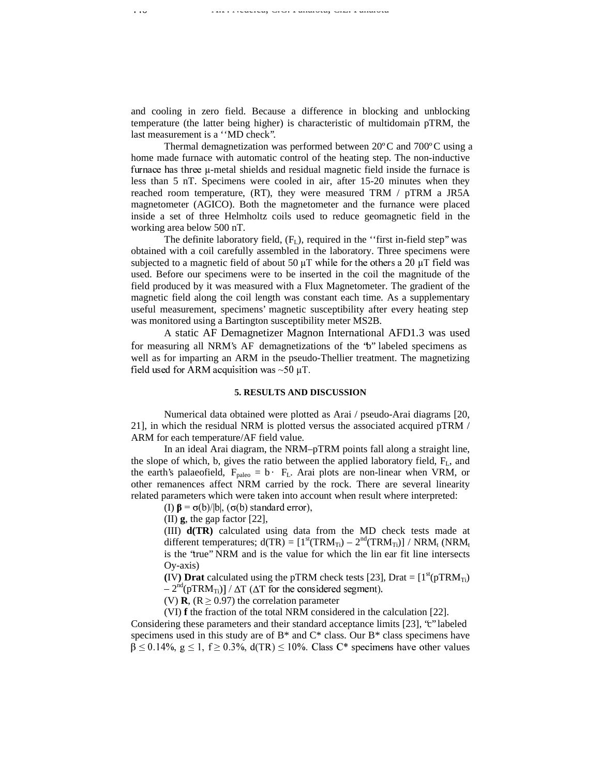and cooling in zero field. Because a difference in blocking and unblocking temperature (the latter being higher) is characteristic of multidomain pTRM, the last measurement is a ''MD check''.

Thermal demagnetization was performed between 20ºC and 700ºC using a home made furnace with automatic control of the heating step. The non-inductive furnace has three  $\mu$ -metal shields and residual magnetic field inside the furnace is less than 5 nT. Specimens were cooled in air, after 15-20 minutes when they reached room temperature, (RT), they were measured TRM / pTRM a JR5A magnetometer (AGICO). Both the magnetometer and the furnance were placed inside a set of three Helmholtz coils used to reduce geomagnetic field in the working area below 500 nT.

The definite laboratory field,  $(F<sub>L</sub>)$ , required in the "first in-field step" was obtained with a coil carefully assembled in the laboratory. Three specimens were subjected to a magnetic field of about 50  $\mu$ T while for the others a 20  $\mu$ T field was used. Before our specimens were to be inserted in the coil the magnitude of the field produced by it was measured with a Flux Magnetometer. The gradient of the magnetic field along the coil length was constant each time. As a supplementary useful measurement, specimens' magnetic susceptibility after every heating step was monitored using a Bartington susceptibility meter MS2B.

A static AF Demagnetizer Magnon International AFD1.3 was used for measuring all NRM's AF demagnetizations of the "b" labeled specimens as well as for imparting an ARM in the pseudo-Thellier treatment. The magnetizing 7#89;:<>=@?A9\*<7#B%CED>FGIHJ\*K=
8?A8ML-8B%NO>H?QPSRTVUWYX

## **5. RESULTS AND DISCUSSION**

Numerical data obtained were plotted as Arai / pseudo-Arai diagrams [20, 21], in which the residual NRM is plotted versus the associated acquired pTRM / ARM for each temperature/AF field value.

In an ideal Arai diagram, the NRM–pTRM points fall along a straight line, the slope of which, b, gives the ratio between the applied laboratory field,  $F_L$ , and the earth's palaeofield,  $F_{\text{paleo}} = b \cdot F_L$ . Arai plots are non-linear when VRM, or other remanences affect NRM carried by the rock. There are several linearity related parameters which were taken into account when result where interpreted:

(I)  $\beta = \sigma(b)/|b|$ , ( $\sigma(b)$  standard error),

(II) **g**, the gap factor [22],

(III) **d(TR)** calculated using data from the MD check tests made at different temperatures;  $d(TR) = [1<sup>st</sup>(TRM<sub>Ti</sub>) - 2<sup>nd</sup>(TRM<sub>Ti</sub>)] / NRM<sub>t</sub> (NRM<sub>t</sub>)$ is the "true" NRM and is the value for which the lin ear fit line intersects Oy-axis)

**(IV) Drat** calculated using the pTRM check tests [23], Drat =  $[1<sup>st</sup>(pTRM<sub>Ti</sub>)$ 

– 2 $\mathrm{^{nd}(pTRM_{Ti})}\,)$  /  $\Delta \mathrm{T}$  ( $\Delta$  $t_{\rm c}$  and  $t_{\rm c}$  are  $t_{\rm c}$  and  $t_{\rm c}$ ,

(V) **R**,  $(R \ge 0.97)$  the correlation parameter

(VI) **f** the fraction of the total NRM considered in the calculation [22]. Considering these parameters and their standard acceptance limits [23], "c" labeled specimens used in this study are of  $B^*$  and  $C^*$  class. Our  $B^*$  class specimens have  $\beta \le 0.14\%$ ,  $g \le 1$ ,  $f \ge 0.3\%$ ,  $d(TR) \le 10\%$ . Class C\* specimens have other values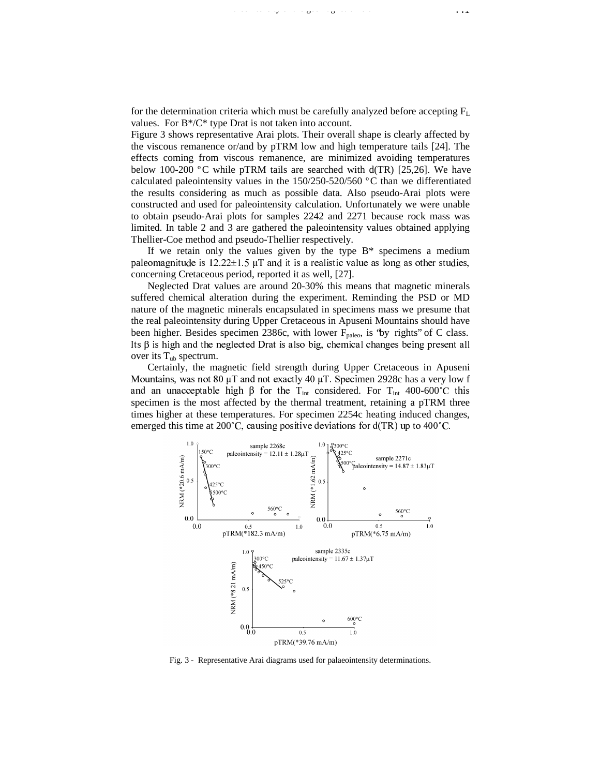for the determination criteria which must be carefully analyzed before accepting  $F_L$ values. For B\*/C\* type Drat is not taken into account.

Paleointensity of the geomagnetic field 441

Figure 3 shows representative Arai plots. Their overall shape is clearly affected by the viscous remanence or/and by pTRM low and high temperature tails [24]. The effects coming from viscous remanence, are minimized avoiding temperatures below 100-200 °C while pTRM tails are searched with  $d(TR)$  [25,26]. We have calculated paleointensity values in the 150/250-520/560 ºC than we differentiated the results considering as much as possible data. Also pseudo-Arai plots were constructed and used for paleointensity calculation. Unfortunately we were unable to obtain pseudo-Arai plots for samples 2242 and 2271 because rock mass was limited. In table 2 and 3 are gathered the paleointensity values obtained applying Thellier-Coe method and pseudo-Thellier respectively.

If we retain only the values given by the type  $B^*$  specimens a medium paleomagnitude is  $12.22 \pm 1.5$  µT and it is a realistic value as long as other studies, concerning Cretaceous period, reported it as well, [27].

Neglected Drat values are around 20-30% this means that magnetic minerals suffered chemical alteration during the experiment. Reminding the PSD or MD nature of the magnetic minerals encapsulated in specimens mass we presume that the real paleointensity during Upper Cretaceous in Apuseni Mountains should have been higher. Besides specimen 2386c, with lower  $F_{\text{paleo}}$ , is 'by rights' of C class. Its  $\beta$  is high and the neglected Drat is also big, chemical changes being present all over its  $T_{ub}$  spectrum.

Certainly, the magnetic field strength during Upper Cretaceous in Apuseni Mountains, was not 80  $\mu$ T and not exactly 40  $\mu$ T. Specimen 2928c has a very low f and an unacceptable high  $\beta$  for the T<sub>int</sub> considered. For T<sub>int</sub> 400-600°C this specimen is the most affected by the thermal treatment, retaining a pTRM three times higher at these temperatures. For specimen 2254c heating induced changes, emerged this time at 200°C, causing positive deviations for  $d(TR)$  up to 400°C.



Fig. 3 - Representative Arai diagrams used for palaeointensity determinations.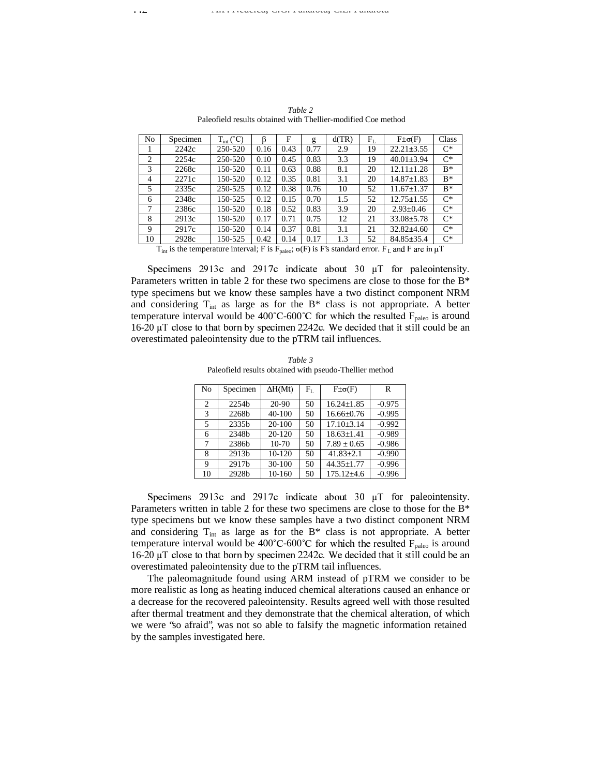| No             | Specimen                                                                                            | $T_{int}(^{\circ}C)$ |      | F    | g    | d(TR) | $F_{L}$ | $F\pm\sigma(F)$  | Class |
|----------------|-----------------------------------------------------------------------------------------------------|----------------------|------|------|------|-------|---------|------------------|-------|
|                | 2242c                                                                                               | 250-520              | 0.16 | 0.43 | 0.77 | 2.9   | 19      | $22.21 \pm 3.55$ | $C^*$ |
| $\overline{2}$ | 2254c                                                                                               | 250-520              | 0.10 | 0.45 | 0.83 | 3.3   | 19      | $40.01 \pm 3.94$ | $C^*$ |
| 3              | 2268c                                                                                               | 150-520              | 0.11 | 0.63 | 0.88 | 8.1   | 20      | $12.11 \pm 1.28$ | $B^*$ |
| 4              | 2271c                                                                                               | 150-520              | 0.12 | 0.35 | 0.81 | 3.1   | 20      | $14.87 \pm 1.83$ | $R^*$ |
| 5              | 2335c                                                                                               | 250-525              | 0.12 | 0.38 | 0.76 | 10    | 52      | $11.67 \pm 1.37$ | $B^*$ |
| 6              | 2348c                                                                                               | 150-525              | 0.12 | 0.15 | 0.70 | 1.5   | 52      | $12.75 \pm 1.55$ | $C^*$ |
| 7              | 2386c                                                                                               | 150-520              | 0.18 | 0.52 | 0.83 | 3.9   | 20      | $2.93 \pm 0.46$  | $C^*$ |
| 8              | 2913c                                                                                               | 150-520              | 0.17 | 0.71 | 0.75 | 12    | 21      | $33.08 + 5.78$   | $C^*$ |
| 9              | 2917c                                                                                               | 150-520              | 0.14 | 0.37 | 0.81 | 3.1   | 21      | $32.82\pm4.60$   | $C^*$ |
| -10            | 2928c                                                                                               | 150-525              | 0.42 | 0.14 | 0.17 | 1.3   | 52      | $84.85 \pm 35.4$ | $C^*$ |
|                | T. is the temperature interval: E is E. $\cdot \sigma(F)$ is E's standard error. E. and E are in uT |                      |      |      |      |       |         |                  |       |

*Table 2* Paleofield results obtained with Thellier-modified Coe method

 $T_{\text{int}}$  is the temperature interval; F is  $F_{\text{paleo}}$ ;  $\sigma(F)$  is F's standard error.  $F_L$  and F are in  $\mu T$ 

 !#"%\$'&)(\* +,.-"/0&)(1\* 234 ")/)5 -67-89,:;6<+)=?>)@BA9DCE3-FGH9, "I6 "%\$JK6GLM Parameters written in table 2 for these two specimens are close to those for the B\* type specimens but we know these samples have a two distinct component NRM and considering  $T_{int}$  as large as for the B\* class is not appropriate. A better temperature interval would be 400°C-600°C for which the resulted  $F_{\text{paleo}}$  is around 16-20  $\mu$ T close to that born by specimen 2242c. We decided that it still could be an overestimated paleointensity due to the pTRM tail influences.

*Table 3* Paleofield results obtained with pseudo-Thellier method

| No             | Specimen          | $\Delta H(Mt)$ | $\rm F_L$ | $F\pm\sigma(F)$  | R        |
|----------------|-------------------|----------------|-----------|------------------|----------|
| $\overline{c}$ | 2254b             | $20 - 90$      | 50        | $16.24 + 1.85$   | $-0.975$ |
| 3              | 2268b             | 40-100         | 50        | $16.66 + 0.76$   | $-0.995$ |
| 5              | 2335 <sub>b</sub> | 20-100         | 50        | $17.10 + 3.14$   | $-0.992$ |
| 6              | 2348b             | $20 - 120$     | 50        | $18.63 + 1.41$   | $-0.989$ |
| 7              | 2386 <sub>b</sub> | 10-70          | 50        | $7.89 + 0.65$    | $-0.986$ |
| 8              | 2913 <sub>b</sub> | $10-120$       | 50        | $41.83 \pm 2.1$  | $-0.990$ |
| 9              | 2917b             | 30-100         | 50        | $44.35 + 1.77$   | $-0.996$ |
| 10             | 2928b             | 10-160         | 50        | $175.12 \pm 4.6$ | $-0.996$ |

Specimens 2913c and 2917c indicate about 30  $\mu$ T for paleointensity. Parameters written in table 2 for these two specimens are close to those for the B\* type specimens but we know these samples have a two distinct component NRM and considering  $T_{int}$  as large as for the B\* class is not appropriate. A better temperature interval would be 400°C-600°C for which the resulted  $F_{\text{paleo}}$  is around  $16-20 \mu$ T close to that born by specimen 2242c. We decided that it still could be an overestimated paleointensity due to the pTRM tail influences.

The paleomagnitude found using ARM instead of pTRM we consider to be more realistic as long as heating induced chemical alterations caused an enhance or a decrease for the recovered paleointensity. Results agreed well with those resulted after thermal treatment and they demonstrate that the chemical alteration, of which we were "so afraid", was not so able to falsify the magnetic information retained by the samples investigated here.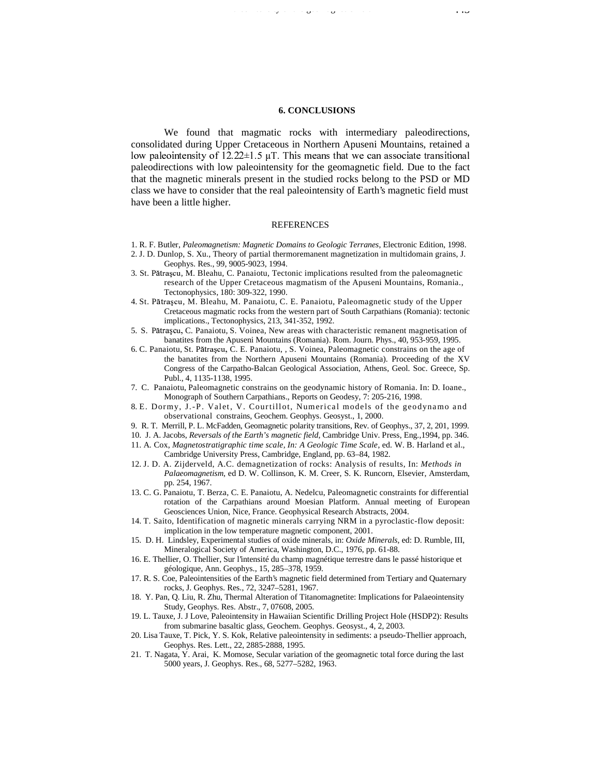#### **6. CONCLUSIONS**

Paleointensity of the geomagnetic field 443

We found that magmatic rocks with intermediary paleodirections, consolidated during Upper Cretaceous in Northern Apuseni Mountains, retained a low paleointensity of  $12.22 \pm 1.5$  uT. This means that we can associate transitional paleodirections with low paleointensity for the geomagnetic field. Due to the fact that the magnetic minerals present in the studied rocks belong to the PSD or MD class we have to consider that the real paleointensity of Earth's magnetic field must have been a little higher.

### **REFERENCES**

- 1. R. F. Butler, *Paleomagnetism: Magnetic Domains to Geologic Terranes*, Electronic Edition, 1998.
- 2. J. D. Dunlop, S. Xu., Theory of partial thermoremanent magnetization in multidomain grains, J. Geophys. Res., 99, 9005-9023, 1994.
- 3. St. Pătrașcu, M. Bleahu, C. Panaiotu, Tectonic implications resulted from the paleomagnetic research of the Upper Cretaceous magmatism of the Apuseni Mountains, Romania., Tectonophysics, 180: 309-322, 1990.
- 4. St. Pătrașcu, M. Bleahu, M. Panaiotu, C. E. Panaiotu, Paleomagnetic study of the Upper Cretaceous magmatic rocks from the western part of South Carpathians (Romania): tectonic implications., Tectonophysics, 213, 341-352, 1992.
- 5. S. Pătrascu, C. Panaiotu, S. Voinea, New areas with characteristic remanent magnetisation of banatites from the Apuseni Mountains (Romania). Rom. Journ. Phys., 40, 953-959, 1995.
- 6. C. Panaiotu, St. Pătrascu, C. E. Panaiotu, , S. Voinea, Paleomagnetic constrains on the age of the banatites from the Northern Apuseni Mountains (Romania). Proceeding of the XV Congress of the Carpatho-Balcan Geological Association, Athens, Geol. Soc. Greece, Sp. Publ., 4, 1135-1138, 1995.
- 7. C. Panaiotu, Paleomagnetic constrains on the geodynamic history of Romania. In: D. Ioane., Monograph of Southern Carpathians., Reports on Geodesy, 7: 205-216, 1998.
- 8. E. Dormy, J.-P. Valet, V. Courtillot, Numerical models of the geodynamo and observational constrains, Geochem. Geophys. Geosyst., 1, 2000.
- 9. R. T. Merrill, P. L. McFadden, Geomagnetic polarity transitions, Rev. of Geophys., 37, 2, 201, 1999.
- 10. J. A. Jacobs, *Reversals of the Earth's magnetic field*, Cambridge Univ. Press, Eng.,1994, pp. 346.
- 11. A*.* Cox, *Magnetostratigraphic time scale, In: A Geologic Time Scale*, ed. W. B. Harland et al.,
	- Cambridge University Press, Cambridge, England, pp. 63–84, 1982.
- 12. J. D. A. Zijderveld, A.C. demagnetization of rocks: Analysis of results, In: *Methods in Palaeomagnetism*, ed D. W. Collinson, K. M. Creer, S. K. Runcorn, Elsevier, Amsterdam, pp. 254, 1967.
- 13. C. G. Panaiotu, T. Berza, C. E. Panaiotu, A. Nedelcu, Paleomagnetic constraints for differential rotation of the Carpathians around Moesian Platform. Annual meeting of European Geosciences Union, Nice, France. Geophysical Research Abstracts, 2004.
- 14. T. Saito, Identification of magnetic minerals carrying NRM in a pyroclastic-flow deposit: implication in the low temperature magnetic component, 2001.
- 15. D. H. Lindsley, Experimental studies of oxide minerals, in: *Oxide Minerals*, ed: D. Rumble, III, Mineralogical Society of America, Washington, D.C., 1976, pp. 61-88.
- 16. E. Thellier, O. Thellier, Sur l'intensité du champ magnétique terrestre dans le passé historique et géologique, Ann. Geophys., 15, 285–378, 1959.
- 17. R. S. Coe, Paleointensities of the Earth's magnetic field determined from Tertiary and Quaternary rocks, J. Geophys. Res., 72, 3247–5281, 1967.
- 18. Y. Pan, Q. Liu, R. Zhu, Thermal Alteration of Titanomagnetite: Implications for Palaeointensity Study, Geophys. Res. Abstr., 7, 07608, 2005.
- 19. L. Tauxe, J. J Love, Paleointensity in Hawaiian Scientific Drilling Project Hole (HSDP2): Results from submarine basaltic glass, Geochem. Geophys. Geosyst., 4, 2, 2003.
- 20. Lisa Tauxe, T. Pick, Y. S. Kok, Relative paleointensity in sediments: a pseudo-Thellier approach, Geophys. Res. Lett., 22, 2885-2888, 1995.
- 21. T. Nagata, Y. Arai, K. Momose, Secular variation of the geomagnetic total force during the last 5000 years, J. Geophys. Res., 68, 5277–5282, 1963.